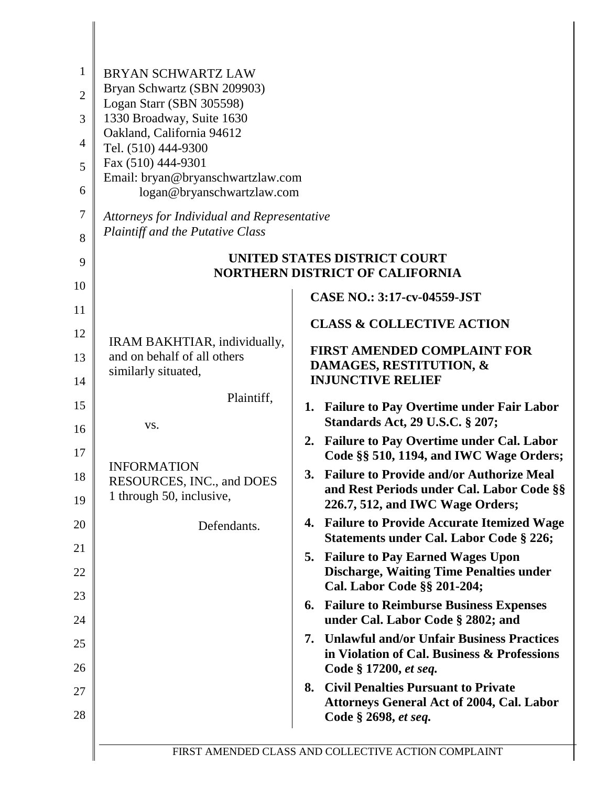| $\mathbf{1}$<br>$\overline{2}$<br>3<br>$\overline{4}$<br>5 | <b>BRYAN SCHWARTZ LAW</b><br>Bryan Schwartz (SBN 209903)<br>Logan Starr (SBN 305598)<br>1330 Broadway, Suite 1630<br>Oakland, California 94612<br>Tel. (510) 444-9300<br>Fax (510) 444-9301<br>Email: bryan@bryanschwartzlaw.com |                                                                                                                                        |
|------------------------------------------------------------|----------------------------------------------------------------------------------------------------------------------------------------------------------------------------------------------------------------------------------|----------------------------------------------------------------------------------------------------------------------------------------|
| 6                                                          | logan@bryanschwartzlaw.com                                                                                                                                                                                                       |                                                                                                                                        |
| $\tau$<br>8                                                | Attorneys for Individual and Representative<br>Plaintiff and the Putative Class                                                                                                                                                  |                                                                                                                                        |
| 9                                                          |                                                                                                                                                                                                                                  | UNITED STATES DISTRICT COURT<br><b>NORTHERN DISTRICT OF CALIFORNIA</b>                                                                 |
| 10                                                         |                                                                                                                                                                                                                                  | <b>CASE NO.: 3:17-cv-04559-JST</b>                                                                                                     |
| 11                                                         |                                                                                                                                                                                                                                  | <b>CLASS &amp; COLLECTIVE ACTION</b>                                                                                                   |
| 12                                                         | IRAM BAKHTIAR, individually,                                                                                                                                                                                                     | <b>FIRST AMENDED COMPLAINT FOR</b>                                                                                                     |
| 13<br>14                                                   | and on behalf of all others<br>similarly situated,                                                                                                                                                                               | DAMAGES, RESTITUTION, &<br><b>INJUNCTIVE RELIEF</b>                                                                                    |
| 15                                                         | Plaintiff,                                                                                                                                                                                                                       | 1. Failure to Pay Overtime under Fair Labor                                                                                            |
| 16                                                         | VS.                                                                                                                                                                                                                              | <b>Standards Act, 29 U.S.C. § 207;</b>                                                                                                 |
| 17                                                         |                                                                                                                                                                                                                                  | <b>Failure to Pay Overtime under Cal. Labor</b><br>2.<br>Code §§ 510, 1194, and IWC Wage Orders;                                       |
| 18<br>19                                                   | <b>INFORMATION</b><br>RESOURCES, INC., and DOES<br>1 through 50, inclusive,                                                                                                                                                      | <b>Failure to Provide and/or Authorize Meal</b><br>3.<br>and Rest Periods under Cal. Labor Code §§<br>226.7, 512, and IWC Wage Orders; |
| 20                                                         | Defendants.                                                                                                                                                                                                                      | <b>Failure to Provide Accurate Itemized Wage</b><br>4.                                                                                 |
| 21                                                         |                                                                                                                                                                                                                                  | Statements under Cal. Labor Code § 226;<br>5. Failure to Pay Earned Wages Upon                                                         |
| 22                                                         |                                                                                                                                                                                                                                  | <b>Discharge, Waiting Time Penalties under</b>                                                                                         |
| 23                                                         |                                                                                                                                                                                                                                  | Cal. Labor Code §§ 201-204;<br><b>6. Failure to Reimburse Business Expenses</b>                                                        |
| 24                                                         |                                                                                                                                                                                                                                  | under Cal. Labor Code § 2802; and                                                                                                      |
| 25<br>26                                                   |                                                                                                                                                                                                                                  | <b>Unlawful and/or Unfair Business Practices</b><br>7.<br>in Violation of Cal. Business & Professions<br>Code § 17200, et seq.         |
| 27                                                         |                                                                                                                                                                                                                                  | <b>Civil Penalties Pursuant to Private</b><br>8.                                                                                       |
| 28                                                         |                                                                                                                                                                                                                                  | <b>Attorneys General Act of 2004, Cal. Labor</b><br>Code § 2698, et seq.                                                               |
|                                                            |                                                                                                                                                                                                                                  | FIRST AMENDED CLASS AND COLLECTIVE ACTION COMPLAINT                                                                                    |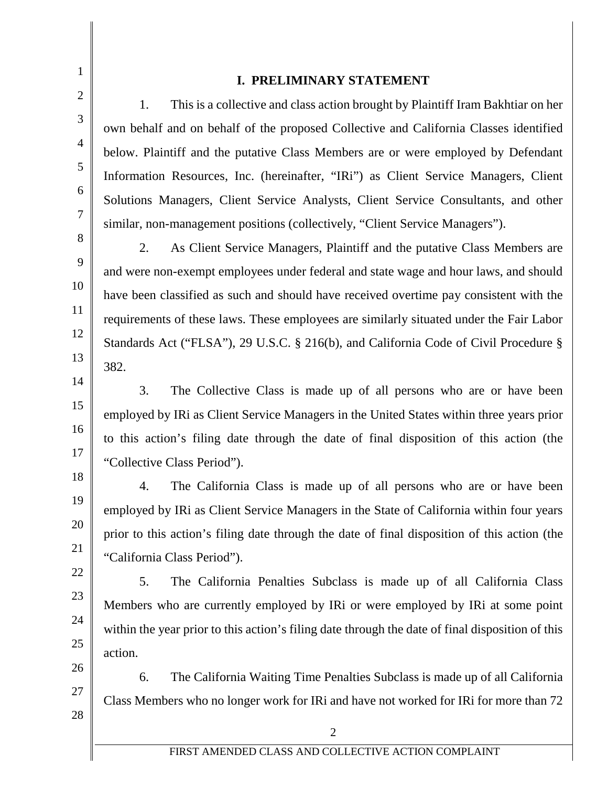9

10

11

12

13

14

15

16

17

18

19

20

21

22

23

24

25

26

27

1

2

#### **I. PRELIMINARY STATEMENT**

1. This is a collective and class action brought by Plaintiff Iram Bakhtiar on her own behalf and on behalf of the proposed Collective and California Classes identified below. Plaintiff and the putative Class Members are or were employed by Defendant Information Resources, Inc. (hereinafter, "IRi") as Client Service Managers, Client Solutions Managers, Client Service Analysts, Client Service Consultants, and other similar, non-management positions (collectively, "Client Service Managers").

2. As Client Service Managers, Plaintiff and the putative Class Members are and were non-exempt employees under federal and state wage and hour laws, and should have been classified as such and should have received overtime pay consistent with the requirements of these laws. These employees are similarly situated under the Fair Labor Standards Act ("FLSA"), 29 U.S.C. § 216(b), and California Code of Civil Procedure § 382.

3. The Collective Class is made up of all persons who are or have been employed by IRi as Client Service Managers in the United States within three years prior to this action's filing date through the date of final disposition of this action (the "Collective Class Period").

4. The California Class is made up of all persons who are or have been employed by IRi as Client Service Managers in the State of California within four years prior to this action's filing date through the date of final disposition of this action (the "California Class Period").

5. The California Penalties Subclass is made up of all California Class Members who are currently employed by IRi or were employed by IRi at some point within the year prior to this action's filing date through the date of final disposition of this action.

6. The California Waiting Time Penalties Subclass is made up of all California Class Members who no longer work for IRi and have not worked for IRi for more than 72

2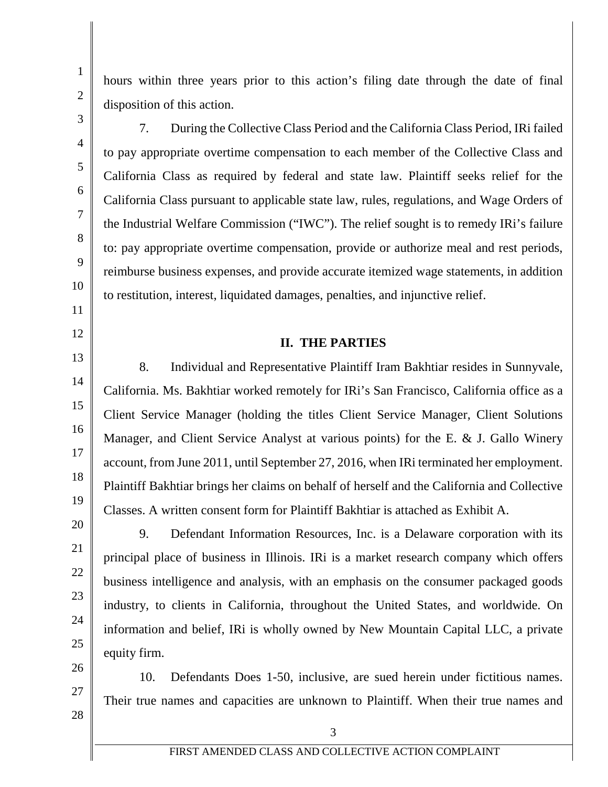1

25

24

26

27

28

hours within three years prior to this action's filing date through the date of final disposition of this action.

7. During the Collective Class Period and the California Class Period, IRi failed to pay appropriate overtime compensation to each member of the Collective Class and California Class as required by federal and state law. Plaintiff seeks relief for the California Class pursuant to applicable state law, rules, regulations, and Wage Orders of the Industrial Welfare Commission ("IWC"). The relief sought is to remedy IRi's failure to: pay appropriate overtime compensation, provide or authorize meal and rest periods, reimburse business expenses, and provide accurate itemized wage statements, in addition to restitution, interest, liquidated damages, penalties, and injunctive relief.

#### **II. THE PARTIES**

8. Individual and Representative Plaintiff Iram Bakhtiar resides in Sunnyvale, California. Ms. Bakhtiar worked remotely for IRi's San Francisco, California office as a Client Service Manager (holding the titles Client Service Manager, Client Solutions Manager, and Client Service Analyst at various points) for the E. & J. Gallo Winery account, from June 2011, until September 27, 2016, when IRi terminated her employment. Plaintiff Bakhtiar brings her claims on behalf of herself and the California and Collective Classes. A written consent form for Plaintiff Bakhtiar is attached as Exhibit A.

9. Defendant Information Resources, Inc. is a Delaware corporation with its principal place of business in Illinois. IRi is a market research company which offers business intelligence and analysis, with an emphasis on the consumer packaged goods industry, to clients in California, throughout the United States, and worldwide. On information and belief, IRi is wholly owned by New Mountain Capital LLC, a private equity firm.

10. Defendants Does 1-50, inclusive, are sued herein under fictitious names. Their true names and capacities are unknown to Plaintiff. When their true names and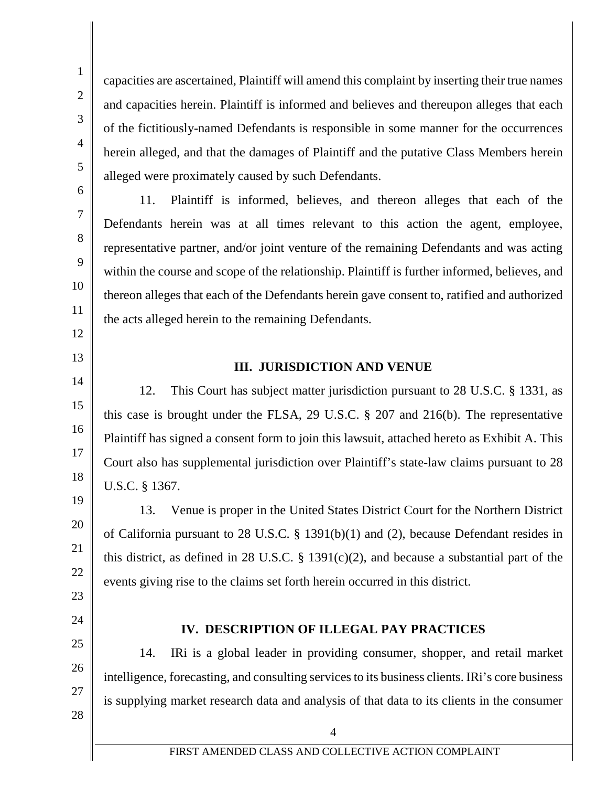24

22

23

## 25

26

27

28

# 14. IRi is a global leader in providing consumer, shopper, and retail market intelligence, forecasting, and consulting services to its business clients. IRi's core business

**IV. DESCRIPTION OF ILLEGAL PAY PRACTICES**

is supplying market research data and analysis of that data to its clients in the consumer

events giving rise to the claims set forth herein occurred in this district.

capacities are ascertained, Plaintiff will amend this complaint by inserting their true names and capacities herein. Plaintiff is informed and believes and thereupon alleges that each of the fictitiously-named Defendants is responsible in some manner for the occurrences herein alleged, and that the damages of Plaintiff and the putative Class Members herein alleged were proximately caused by such Defendants.

Defendants herein was at all times relevant to this action the agent, employee,

representative partner, and/or joint venture of the remaining Defendants and was acting

within the course and scope of the relationship. Plaintiff is further informed, believes, and

thereon alleges that each of the Defendants herein gave consent to, ratified and authorized

**III. JURISDICTION AND VENUE**

this case is brought under the FLSA, 29 U.S.C. § 207 and 216(b). The representative

Plaintiff has signed a consent form to join this lawsuit, attached hereto as Exhibit A. This

Court also has supplemental jurisdiction over Plaintiff's state-law claims pursuant to 28

of California pursuant to 28 U.S.C. § 1391(b)(1) and (2), because Defendant resides in

this district, as defined in 28 U.S.C.  $\S$  1391(c)(2), and because a substantial part of the

12. This Court has subject matter jurisdiction pursuant to 28 U.S.C. § 1331, as

13. Venue is proper in the United States District Court for the Northern District

the acts alleged herein to the remaining Defendants.

11. Plaintiff is informed, believes, and thereon alleges that each of the

1

- 12
- 
- 14
- 
- 

U.S.C. § 1367.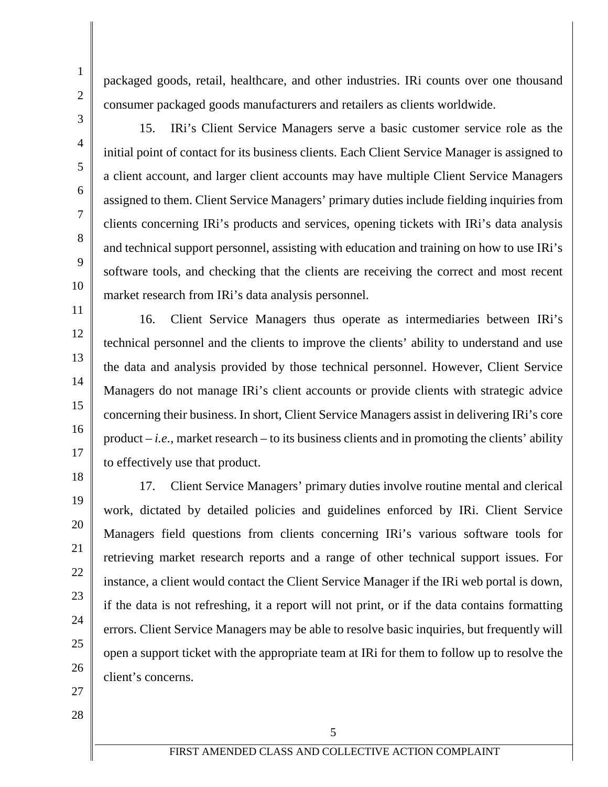24

21

22

23

25

26

27 28

packaged goods, retail, healthcare, and other industries. IRi counts over one thousand consumer packaged goods manufacturers and retailers as clients worldwide.

3

15. IRi's Client Service Managers serve a basic customer service role as the initial point of contact for its business clients. Each Client Service Manager is assigned to a client account, and larger client accounts may have multiple Client Service Managers assigned to them. Client Service Managers' primary duties include fielding inquiries from clients concerning IRi's products and services, opening tickets with IRi's data analysis and technical support personnel, assisting with education and training on how to use IRi's software tools, and checking that the clients are receiving the correct and most recent market research from IRi's data analysis personnel.

16. Client Service Managers thus operate as intermediaries between IRi's technical personnel and the clients to improve the clients' ability to understand and use the data and analysis provided by those technical personnel. However, Client Service Managers do not manage IRi's client accounts or provide clients with strategic advice concerning their business. In short, Client Service Managers assist in delivering IRi's core product  $-i.e.,$  market research  $-$  to its business clients and in promoting the clients' ability to effectively use that product.

17. Client Service Managers' primary duties involve routine mental and clerical work, dictated by detailed policies and guidelines enforced by IRi. Client Service Managers field questions from clients concerning IRi's various software tools for retrieving market research reports and a range of other technical support issues. For instance, a client would contact the Client Service Manager if the IRi web portal is down, if the data is not refreshing, it a report will not print, or if the data contains formatting errors. Client Service Managers may be able to resolve basic inquiries, but frequently will open a support ticket with the appropriate team at IRi for them to follow up to resolve the client's concerns.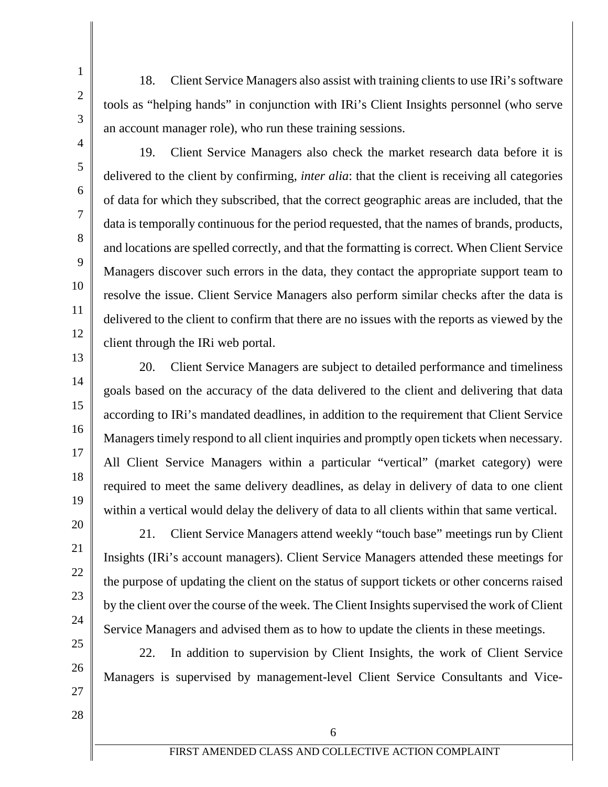18. Client Service Managers also assist with training clients to use IRi's software tools as "helping hands" in conjunction with IRi's Client Insights personnel (who serve an account manager role), who run these training sessions.

4

1

2

3

5

6

7

8

9

10

11

12

13

14

15

16

17

18

19

20

21

22

23

24

25

26

27

19. Client Service Managers also check the market research data before it is delivered to the client by confirming, *inter alia*: that the client is receiving all categories of data for which they subscribed, that the correct geographic areas are included, that the data is temporally continuous for the period requested, that the names of brands, products, and locations are spelled correctly, and that the formatting is correct. When Client Service Managers discover such errors in the data, they contact the appropriate support team to resolve the issue. Client Service Managers also perform similar checks after the data is delivered to the client to confirm that there are no issues with the reports as viewed by the client through the IRi web portal.

20. Client Service Managers are subject to detailed performance and timeliness goals based on the accuracy of the data delivered to the client and delivering that data according to IRi's mandated deadlines, in addition to the requirement that Client Service Managers timely respond to all client inquiries and promptly open tickets when necessary. All Client Service Managers within a particular "vertical" (market category) were required to meet the same delivery deadlines, as delay in delivery of data to one client within a vertical would delay the delivery of data to all clients within that same vertical.

21. Client Service Managers attend weekly "touch base" meetings run by Client Insights (IRi's account managers). Client Service Managers attended these meetings for the purpose of updating the client on the status of support tickets or other concerns raised by the client over the course of the week. The Client Insights supervised the work of Client Service Managers and advised them as to how to update the clients in these meetings.

22. In addition to supervision by Client Insights, the work of Client Service Managers is supervised by management-level Client Service Consultants and Vice-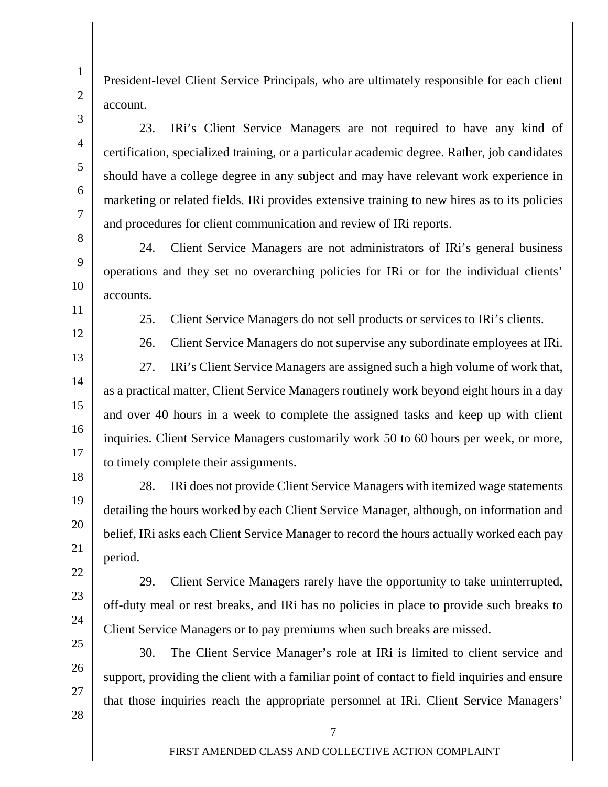15

16

17

18

19

20

21

22

23

24

25

26

27

President-level Client Service Principals, who are ultimately responsible for each client account.

23. IRi's Client Service Managers are not required to have any kind of certification, specialized training, or a particular academic degree. Rather, job candidates should have a college degree in any subject and may have relevant work experience in marketing or related fields. IRi provides extensive training to new hires as to its policies and procedures for client communication and review of IRi reports.

24. Client Service Managers are not administrators of IRi's general business operations and they set no overarching policies for IRi or for the individual clients' accounts.

25. Client Service Managers do not sell products or services to IRi's clients.

26. Client Service Managers do not supervise any subordinate employees at IRi. 27. IRi's Client Service Managers are assigned such a high volume of work that, as a practical matter, Client Service Managers routinely work beyond eight hours in a day and over 40 hours in a week to complete the assigned tasks and keep up with client inquiries. Client Service Managers customarily work 50 to 60 hours per week, or more, to timely complete their assignments.

28. IRi does not provide Client Service Managers with itemized wage statements detailing the hours worked by each Client Service Manager, although, on information and belief, IRi asks each Client Service Manager to record the hours actually worked each pay period.

29. Client Service Managers rarely have the opportunity to take uninterrupted, off-duty meal or rest breaks, and IRi has no policies in place to provide such breaks to Client Service Managers or to pay premiums when such breaks are missed.

30. The Client Service Manager's role at IRi is limited to client service and support, providing the client with a familiar point of contact to field inquiries and ensure that those inquiries reach the appropriate personnel at IRi. Client Service Managers'

28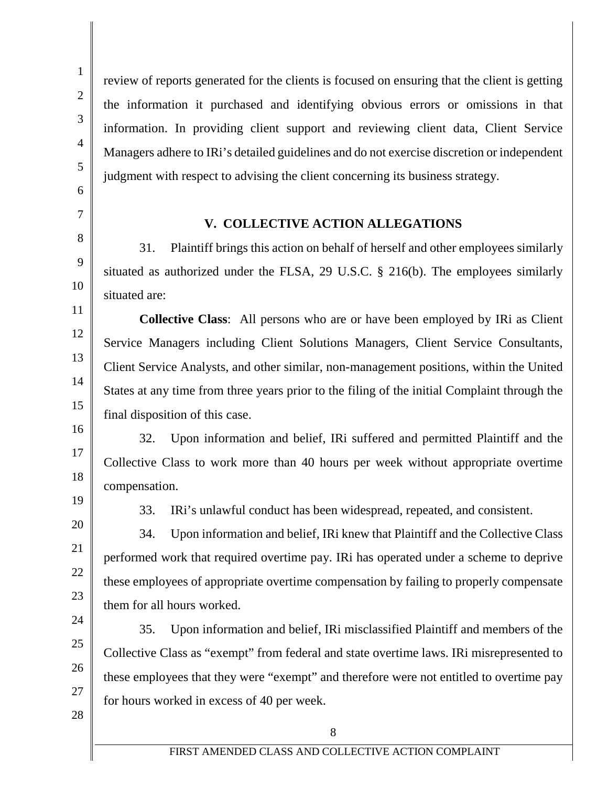review of reports generated for the clients is focused on ensuring that the client is getting the information it purchased and identifying obvious errors or omissions in that information. In providing client support and reviewing client data, Client Service Managers adhere to IRi's detailed guidelines and do not exercise discretion or independent judgment with respect to advising the client concerning its business strategy.

#### **V. COLLECTIVE ACTION ALLEGATIONS**

31. Plaintiff brings this action on behalf of herself and other employees similarly situated as authorized under the FLSA, 29 U.S.C. § 216(b). The employees similarly situated are:

**Collective Class**: All persons who are or have been employed by IRi as Client Service Managers including Client Solutions Managers, Client Service Consultants, Client Service Analysts, and other similar, non-management positions, within the United States at any time from three years prior to the filing of the initial Complaint through the final disposition of this case.

32. Upon information and belief, IRi suffered and permitted Plaintiff and the Collective Class to work more than 40 hours per week without appropriate overtime compensation.

33. IRi's unlawful conduct has been widespread, repeated, and consistent.

34. Upon information and belief, IRi knew that Plaintiff and the Collective Class performed work that required overtime pay. IRi has operated under a scheme to deprive these employees of appropriate overtime compensation by failing to properly compensate them for all hours worked.

35. Upon information and belief, IRi misclassified Plaintiff and members of the Collective Class as "exempt" from federal and state overtime laws. IRi misrepresented to these employees that they were "exempt" and therefore were not entitled to overtime pay for hours worked in excess of 40 per week.

28

26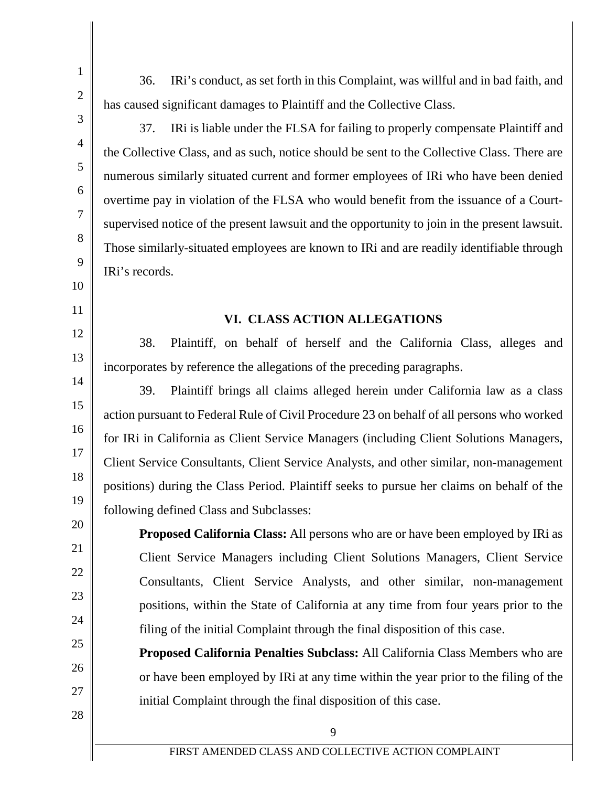36. IRi's conduct, as set forth in this Complaint, was willful and in bad faith, and has caused significant damages to Plaintiff and the Collective Class.

1

2

3

4

5

6

7

8

9

10

11

12

13

14

15

16

17

18

19

20

21

22

23

24

25

26

27

28

37. IRi is liable under the FLSA for failing to properly compensate Plaintiff and the Collective Class, and as such, notice should be sent to the Collective Class. There are numerous similarly situated current and former employees of IRi who have been denied overtime pay in violation of the FLSA who would benefit from the issuance of a Courtsupervised notice of the present lawsuit and the opportunity to join in the present lawsuit. Those similarly-situated employees are known to IRi and are readily identifiable through IRi's records.

#### **VI. CLASS ACTION ALLEGATIONS**

38. Plaintiff, on behalf of herself and the California Class, alleges and incorporates by reference the allegations of the preceding paragraphs.

39. Plaintiff brings all claims alleged herein under California law as a class action pursuant to Federal Rule of Civil Procedure 23 on behalf of all persons who worked for IRi in California as Client Service Managers (including Client Solutions Managers, Client Service Consultants, Client Service Analysts, and other similar, non-management positions) during the Class Period. Plaintiff seeks to pursue her claims on behalf of the following defined Class and Subclasses:

**Proposed California Class:** All persons who are or have been employed by IRi as Client Service Managers including Client Solutions Managers, Client Service Consultants, Client Service Analysts, and other similar, non-management positions, within the State of California at any time from four years prior to the filing of the initial Complaint through the final disposition of this case.

**Proposed California Penalties Subclass:** All California Class Members who are or have been employed by IRi at any time within the year prior to the filing of the initial Complaint through the final disposition of this case.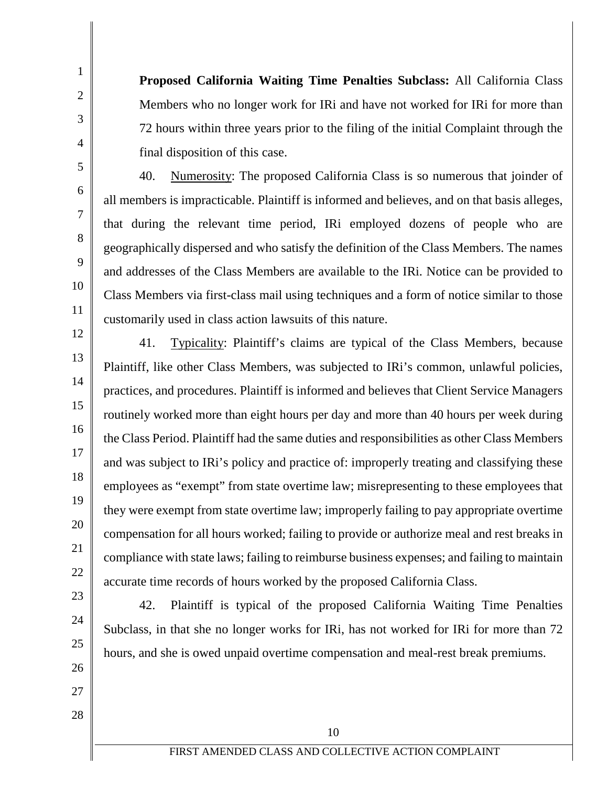**Proposed California Waiting Time Penalties Subclass:** All California Class Members who no longer work for IRi and have not worked for IRi for more than 72 hours within three years prior to the filing of the initial Complaint through the final disposition of this case.

40. Numerosity: The proposed California Class is so numerous that joinder of all members is impracticable. Plaintiff is informed and believes, and on that basis alleges, that during the relevant time period, IRi employed dozens of people who are geographically dispersed and who satisfy the definition of the Class Members. The names and addresses of the Class Members are available to the IRi. Notice can be provided to Class Members via first-class mail using techniques and a form of notice similar to those customarily used in class action lawsuits of this nature.

13 14

15

16

17

18

19

20

21

22

23

24

25

26

27

28

1

2

3

4

5

6

7

8

9

10

11

12

41. Typicality: Plaintiff's claims are typical of the Class Members, because Plaintiff, like other Class Members, was subjected to IRi's common, unlawful policies, practices, and procedures. Plaintiff is informed and believes that Client Service Managers routinely worked more than eight hours per day and more than 40 hours per week during the Class Period. Plaintiff had the same duties and responsibilities as other Class Members and was subject to IRi's policy and practice of: improperly treating and classifying these employees as "exempt" from state overtime law; misrepresenting to these employees that they were exempt from state overtime law; improperly failing to pay appropriate overtime compensation for all hours worked; failing to provide or authorize meal and rest breaks in compliance with state laws; failing to reimburse business expenses; and failing to maintain accurate time records of hours worked by the proposed California Class.

42. Plaintiff is typical of the proposed California Waiting Time Penalties Subclass, in that she no longer works for IRi, has not worked for IRi for more than 72 hours, and she is owed unpaid overtime compensation and meal-rest break premiums.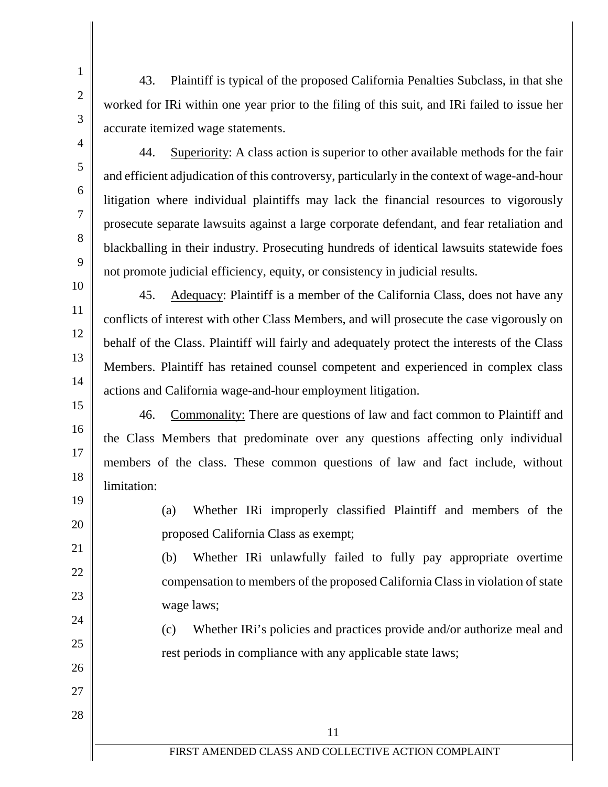- 43. Plaintiff is typical of the proposed California Penalties Subclass, in that she worked for IRi within one year prior to the filing of this suit, and IRi failed to issue her accurate itemized wage statements.
- 44. Superiority: A class action is superior to other available methods for the fair and efficient adjudication of this controversy, particularly in the context of wage-and-hour litigation where individual plaintiffs may lack the financial resources to vigorously prosecute separate lawsuits against a large corporate defendant, and fear retaliation and blackballing in their industry. Prosecuting hundreds of identical lawsuits statewide foes not promote judicial efficiency, equity, or consistency in judicial results.

45. Adequacy: Plaintiff is a member of the California Class, does not have any conflicts of interest with other Class Members, and will prosecute the case vigorously on behalf of the Class. Plaintiff will fairly and adequately protect the interests of the Class Members. Plaintiff has retained counsel competent and experienced in complex class actions and California wage-and-hour employment litigation.

46. Commonality: There are questions of law and fact common to Plaintiff and the Class Members that predominate over any questions affecting only individual members of the class. These common questions of law and fact include, without limitation:

(a) Whether IRi improperly classified Plaintiff and members of the proposed California Class as exempt;

(b) Whether IRi unlawfully failed to fully pay appropriate overtime compensation to members of the proposed California Class in violation of state wage laws;

(c) Whether IRi's policies and practices provide and/or authorize meal and rest periods in compliance with any applicable state laws;

1

2

3

4

12

9

10

11

- 13
- 14 15

16

17 18

19

20

21

22

23

24

25

26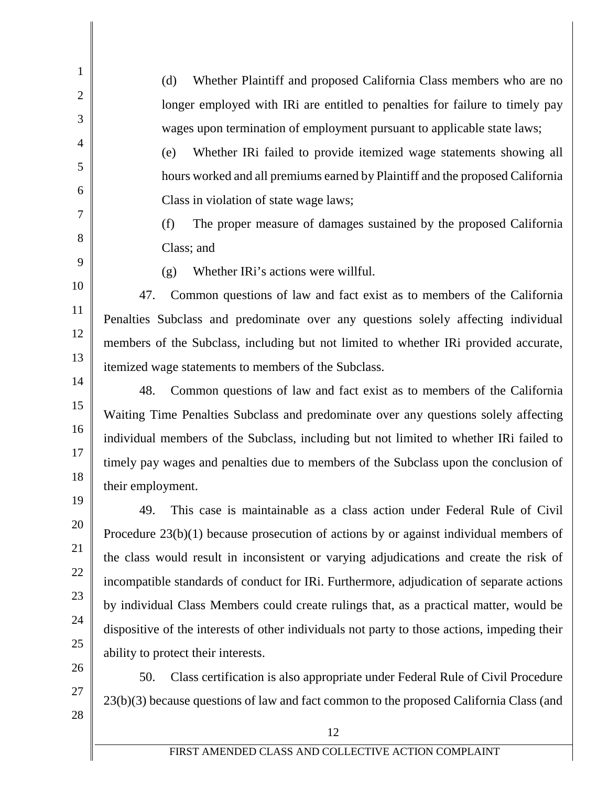(d) Whether Plaintiff and proposed California Class members who are no longer employed with IRi are entitled to penalties for failure to timely pay wages upon termination of employment pursuant to applicable state laws;

(e) Whether IRi failed to provide itemized wage statements showing all hours worked and all premiums earned by Plaintiff and the proposed California Class in violation of state wage laws;

(f) The proper measure of damages sustained by the proposed California Class; and

9 10

11

12

13

14

15

16

17

18

19

20

21

22

23

24

25

26

27

28

1

2

3

4

5

6

7

8

(g) Whether IRi's actions were willful.

47. Common questions of law and fact exist as to members of the California Penalties Subclass and predominate over any questions solely affecting individual members of the Subclass, including but not limited to whether IRi provided accurate, itemized wage statements to members of the Subclass.

48. Common questions of law and fact exist as to members of the California Waiting Time Penalties Subclass and predominate over any questions solely affecting individual members of the Subclass, including but not limited to whether IRi failed to timely pay wages and penalties due to members of the Subclass upon the conclusion of their employment.

49. This case is maintainable as a class action under Federal Rule of Civil Procedure 23(b)(1) because prosecution of actions by or against individual members of the class would result in inconsistent or varying adjudications and create the risk of incompatible standards of conduct for IRi. Furthermore, adjudication of separate actions by individual Class Members could create rulings that, as a practical matter, would be dispositive of the interests of other individuals not party to those actions, impeding their ability to protect their interests.

50. Class certification is also appropriate under Federal Rule of Civil Procedure 23(b)(3) because questions of law and fact common to the proposed California Class (and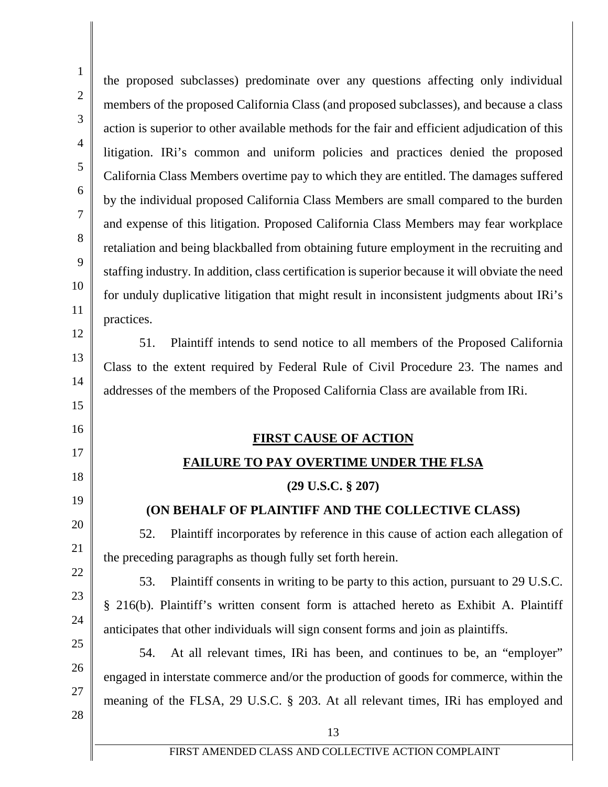| $\mathbf{1}$   | the proposed subclasses) predominate over any questions affecting only individual                |
|----------------|--------------------------------------------------------------------------------------------------|
| $\overline{2}$ | members of the proposed California Class (and proposed subclasses), and because a class          |
| 3              | action is superior to other available methods for the fair and efficient adjudication of this    |
| $\overline{4}$ | litigation. IRi's common and uniform policies and practices denied the proposed                  |
| 5              | California Class Members overtime pay to which they are entitled. The damages suffered           |
| 6              | by the individual proposed California Class Members are small compared to the burden             |
| $\tau$         | and expense of this litigation. Proposed California Class Members may fear workplace             |
| 8              | retaliation and being blackballed from obtaining future employment in the recruiting and         |
| 9              | staffing industry. In addition, class certification is superior because it will obviate the need |
| 10             | for unduly duplicative litigation that might result in inconsistent judgments about IRi's        |
| 11             | practices.                                                                                       |
| 12             | Plaintiff intends to send notice to all members of the Proposed California<br>51.                |
| 13             | Class to the extent required by Federal Rule of Civil Procedure 23. The names and                |
| 14             | addresses of the members of the Proposed California Class are available from IRi.                |
| 15             |                                                                                                  |
|                |                                                                                                  |
| 16             | <b>FIRST CAUSE OF ACTION</b>                                                                     |
| 17             | <b>FAILURE TO PAY OVERTIME UNDER THE FLSA</b>                                                    |
| 18             | $(29$ U.S.C. $\S 207)$                                                                           |
| 19             | (ON BEHALF OF PLAINTIFF AND THE COLLECTIVE CLASS)                                                |
| 20             | Plaintiff incorporates by reference in this cause of action each allegation of<br>52.            |
| 21             | the preceding paragraphs as though fully set forth herein.                                       |
| 22             | Plaintiff consents in writing to be party to this action, pursuant to 29 U.S.C.<br>53.           |
| 23             | § 216(b). Plaintiff's written consent form is attached hereto as Exhibit A. Plaintiff            |
| 24             | anticipates that other individuals will sign consent forms and join as plaintiffs.               |
| 25             | At all relevant times, IRi has been, and continues to be, an "employer"<br>54.                   |
| 26             | engaged in interstate commerce and/or the production of goods for commerce, within the           |
| 27             | meaning of the FLSA, 29 U.S.C. § 203. At all relevant times, IRi has employed and                |
| 28             | 13                                                                                               |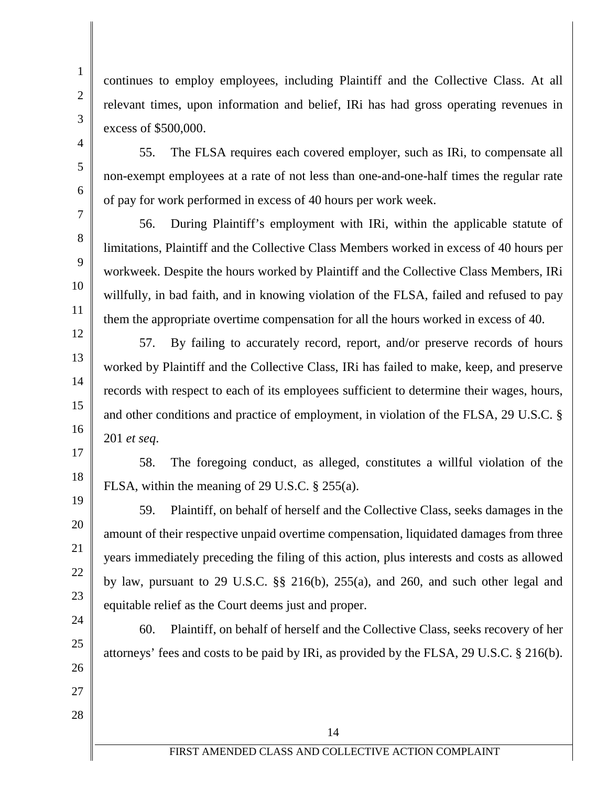19

20

21

22

23

1

continues to employ employees, including Plaintiff and the Collective Class. At all relevant times, upon information and belief, IRi has had gross operating revenues in excess of \$500,000.

55. The FLSA requires each covered employer, such as IRi, to compensate all non-exempt employees at a rate of not less than one-and-one-half times the regular rate of pay for work performed in excess of 40 hours per work week.

56. During Plaintiff's employment with IRi, within the applicable statute of limitations, Plaintiff and the Collective Class Members worked in excess of 40 hours per workweek. Despite the hours worked by Plaintiff and the Collective Class Members, IRi willfully, in bad faith, and in knowing violation of the FLSA, failed and refused to pay them the appropriate overtime compensation for all the hours worked in excess of 40.

57. By failing to accurately record, report, and/or preserve records of hours worked by Plaintiff and the Collective Class, IRi has failed to make, keep, and preserve records with respect to each of its employees sufficient to determine their wages, hours, and other conditions and practice of employment, in violation of the FLSA, 29 U.S.C. § 201 *et seq*.

58. The foregoing conduct, as alleged, constitutes a willful violation of the FLSA, within the meaning of 29 U.S.C. § 255(a).

59. Plaintiff, on behalf of herself and the Collective Class, seeks damages in the amount of their respective unpaid overtime compensation, liquidated damages from three years immediately preceding the filing of this action, plus interests and costs as allowed by law, pursuant to 29 U.S.C. §§ 216(b), 255(a), and 260, and such other legal and equitable relief as the Court deems just and proper.

24 25 26 27 28 14 60. Plaintiff, on behalf of herself and the Collective Class, seeks recovery of her attorneys' fees and costs to be paid by IRi, as provided by the FLSA, 29 U.S.C. § 216(b).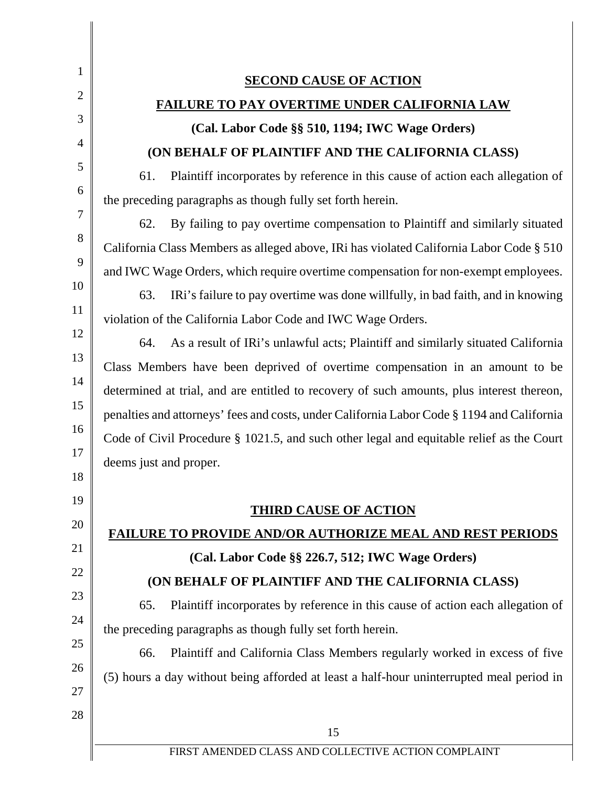1 2 3 4 5 6 7 8 9 10 11 12 13 14 15 16 17 18 19 20 21 22 23 24 25 26 27 28 FIRST AMENDED CLASS AND COLLECTIVE ACTION COMPLAINT 15 **SECOND CAUSE OF ACTION FAILURE TO PAY OVERTIME UNDER CALIFORNIA LAW (Cal. Labor Code §§ 510, 1194; IWC Wage Orders) (ON BEHALF OF PLAINTIFF AND THE CALIFORNIA CLASS)** 61. Plaintiff incorporates by reference in this cause of action each allegation of the preceding paragraphs as though fully set forth herein. 62. By failing to pay overtime compensation to Plaintiff and similarly situated California Class Members as alleged above, IRi has violated California Labor Code § 510 and IWC Wage Orders, which require overtime compensation for non-exempt employees. 63. IRi's failure to pay overtime was done willfully, in bad faith, and in knowing violation of the California Labor Code and IWC Wage Orders. 64. As a result of IRi's unlawful acts; Plaintiff and similarly situated California Class Members have been deprived of overtime compensation in an amount to be determined at trial, and are entitled to recovery of such amounts, plus interest thereon, penalties and attorneys' fees and costs, under California Labor Code § 1194 and California Code of Civil Procedure § 1021.5, and such other legal and equitable relief as the Court deems just and proper. **THIRD CAUSE OF ACTION FAILURE TO PROVIDE AND/OR AUTHORIZE MEAL AND REST PERIODS (Cal. Labor Code §§ 226.7, 512; IWC Wage Orders) (ON BEHALF OF PLAINTIFF AND THE CALIFORNIA CLASS)** 65. Plaintiff incorporates by reference in this cause of action each allegation of the preceding paragraphs as though fully set forth herein. 66. Plaintiff and California Class Members regularly worked in excess of five (5) hours a day without being afforded at least a half-hour uninterrupted meal period in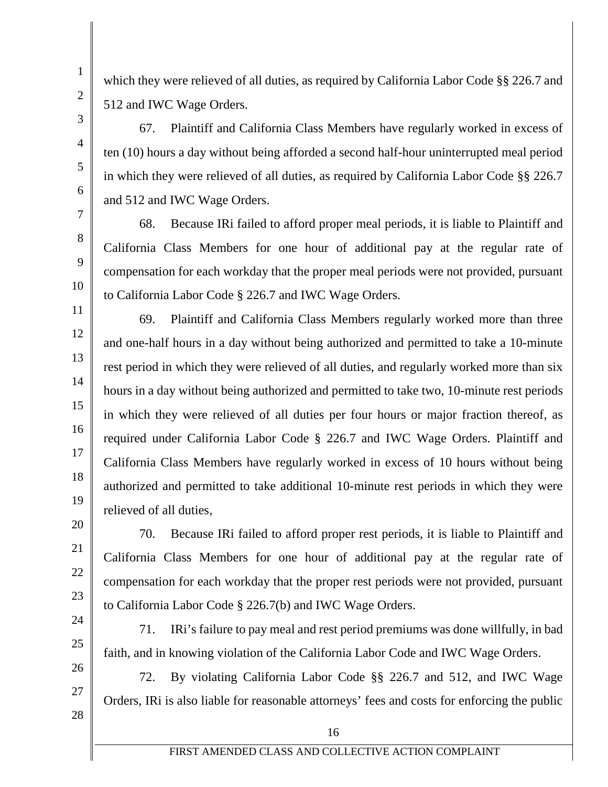1

which they were relieved of all duties, as required by California Labor Code §§ 226.7 and 512 and IWC Wage Orders.

67. Plaintiff and California Class Members have regularly worked in excess of ten (10) hours a day without being afforded a second half-hour uninterrupted meal period in which they were relieved of all duties, as required by California Labor Code §§ 226.7 and 512 and IWC Wage Orders.

68. Because IRi failed to afford proper meal periods, it is liable to Plaintiff and California Class Members for one hour of additional pay at the regular rate of compensation for each workday that the proper meal periods were not provided, pursuant to California Labor Code § 226.7 and IWC Wage Orders.

69. Plaintiff and California Class Members regularly worked more than three and one-half hours in a day without being authorized and permitted to take a 10-minute rest period in which they were relieved of all duties, and regularly worked more than six hours in a day without being authorized and permitted to take two, 10-minute rest periods in which they were relieved of all duties per four hours or major fraction thereof, as required under California Labor Code § 226.7 and IWC Wage Orders. Plaintiff and California Class Members have regularly worked in excess of 10 hours without being authorized and permitted to take additional 10-minute rest periods in which they were relieved of all duties,

70. Because IRi failed to afford proper rest periods, it is liable to Plaintiff and California Class Members for one hour of additional pay at the regular rate of compensation for each workday that the proper rest periods were not provided, pursuant to California Labor Code § 226.7(b) and IWC Wage Orders.

71. IRi's failure to pay meal and rest period premiums was done willfully, in bad faith, and in knowing violation of the California Labor Code and IWC Wage Orders.

72. By violating California Labor Code §§ 226.7 and 512, and IWC Wage Orders, IRi is also liable for reasonable attorneys' fees and costs for enforcing the public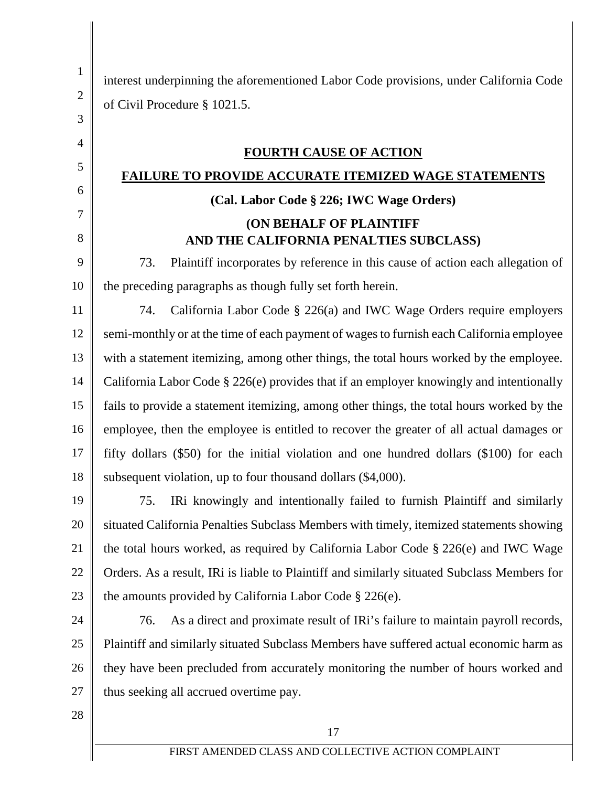| $\mathbf{1}$   | interest underpinning the aforementioned Labor Code provisions, under California Code       |  |
|----------------|---------------------------------------------------------------------------------------------|--|
| $\mathbf{2}$   | of Civil Procedure § 1021.5.                                                                |  |
| 3              |                                                                                             |  |
| $\overline{4}$ | <b>FOURTH CAUSE OF ACTION</b>                                                               |  |
| 5              | <b>FAILURE TO PROVIDE ACCURATE ITEMIZED WAGE STATEMENTS</b>                                 |  |
| 6              | (Cal. Labor Code § 226; IWC Wage Orders)                                                    |  |
| 7              | <b>(ON BEHALF OF PLAINTIFF</b>                                                              |  |
| 8              | AND THE CALIFORNIA PENALTIES SUBCLASS)                                                      |  |
| 9              | Plaintiff incorporates by reference in this cause of action each allegation of<br>73.       |  |
| 10             | the preceding paragraphs as though fully set forth herein.                                  |  |
| 11             | California Labor Code $\S$ 226(a) and IWC Wage Orders require employers<br>74.              |  |
| 12             | semi-monthly or at the time of each payment of wages to furnish each California employee    |  |
| 13             | with a statement itemizing, among other things, the total hours worked by the employee.     |  |
| 14             | California Labor Code § 226(e) provides that if an employer knowingly and intentionally     |  |
| 15             | fails to provide a statement itemizing, among other things, the total hours worked by the   |  |
| 16             | employee, then the employee is entitled to recover the greater of all actual damages or     |  |
| 17             | fifty dollars (\$50) for the initial violation and one hundred dollars (\$100) for each     |  |
| 18             | subsequent violation, up to four thousand dollars (\$4,000).                                |  |
| 19             | IRi knowingly and intentionally failed to furnish Plaintiff and similarly<br>75.            |  |
| 20             | situated California Penalties Subclass Members with timely, itemized statements showing     |  |
| 21             | the total hours worked, as required by California Labor Code $\S 226(e)$ and IWC Wage       |  |
| 22             | Orders. As a result, IRi is liable to Plaintiff and similarly situated Subclass Members for |  |
| 23             | the amounts provided by California Labor Code $\S 226(e)$ .                                 |  |
| 24             | As a direct and proximate result of IRi's failure to maintain payroll records,<br>76.       |  |
| 25             | Plaintiff and similarly situated Subclass Members have suffered actual economic harm as     |  |
| 26             | they have been precluded from accurately monitoring the number of hours worked and          |  |
| 27             | thus seeking all accrued overtime pay.                                                      |  |
| 28             |                                                                                             |  |
|                | 17                                                                                          |  |
|                | FIRST AMENDED CLASS AND COLLECTIVE ACTION COMPLAINT                                         |  |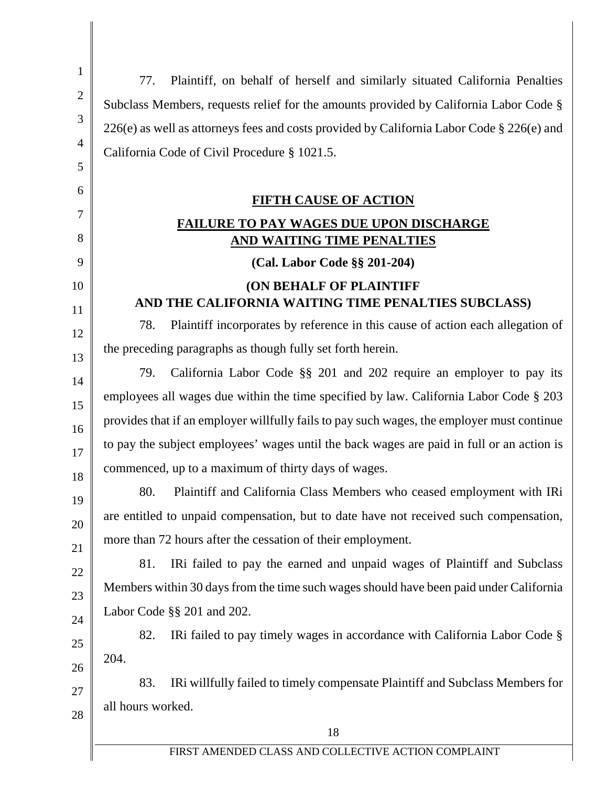1 2 3 4 5 6 7 8 9 10 11 12 13 14 15 16 17 18 19 20 21 22 23 24 25 26 27 28 18 77. Plaintiff, on behalf of herself and similarly situated California Penalties Subclass Members, requests relief for the amounts provided by California Labor Code § 226(e) as well as attorneys fees and costs provided by California Labor Code § 226(e) and California Code of Civil Procedure § 1021.5. **FIFTH CAUSE OF ACTION FAILURE TO PAY WAGES DUE UPON DISCHARGE AND WAITING TIME PENALTIES (Cal. Labor Code §§ 201-204) (ON BEHALF OF PLAINTIFF AND THE CALIFORNIA WAITING TIME PENALTIES SUBCLASS)** 78. Plaintiff incorporates by reference in this cause of action each allegation of the preceding paragraphs as though fully set forth herein. 79. California Labor Code §§ 201 and 202 require an employer to pay its employees all wages due within the time specified by law. California Labor Code § 203 provides that if an employer willfully fails to pay such wages, the employer must continue to pay the subject employees' wages until the back wages are paid in full or an action is commenced, up to a maximum of thirty days of wages. 80. Plaintiff and California Class Members who ceased employment with IRi are entitled to unpaid compensation, but to date have not received such compensation, more than 72 hours after the cessation of their employment. 81. IRi failed to pay the earned and unpaid wages of Plaintiff and Subclass Members within 30 days from the time such wages should have been paid under California Labor Code §§ 201 and 202. 82. IRi failed to pay timely wages in accordance with California Labor Code § 204. 83. IRi willfully failed to timely compensate Plaintiff and Subclass Members for all hours worked.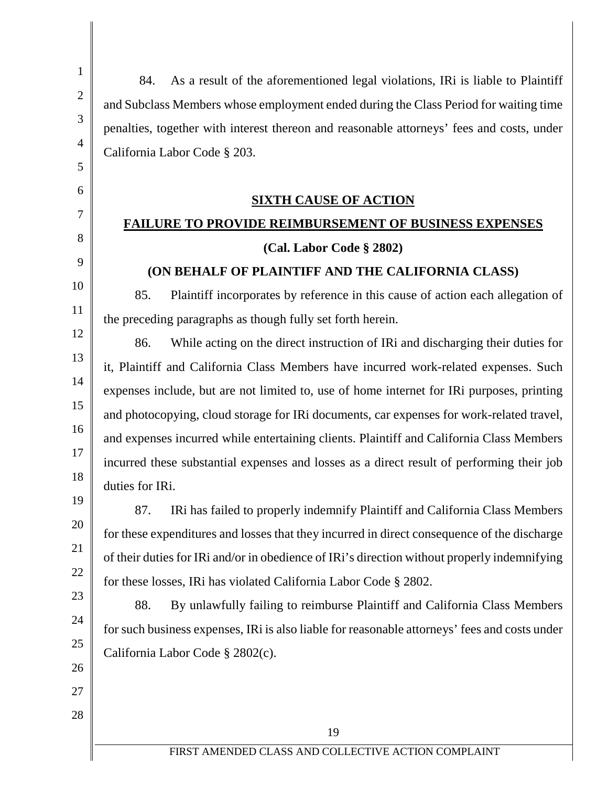18

19

20

21

22

23

24

25

26

27

28

84. As a result of the aforementioned legal violations, IRi is liable to Plaintiff and Subclass Members whose employment ended during the Class Period for waiting time penalties, together with interest thereon and reasonable attorneys' fees and costs, under California Labor Code § 203.

#### **SIXTH CAUSE OF ACTION**

### **FAILURE TO PROVIDE REIMBURSEMENT OF BUSINESS EXPENSES**

#### **(Cal. Labor Code § 2802)**

#### **(ON BEHALF OF PLAINTIFF AND THE CALIFORNIA CLASS)**

85. Plaintiff incorporates by reference in this cause of action each allegation of the preceding paragraphs as though fully set forth herein.

86. While acting on the direct instruction of IRi and discharging their duties for it, Plaintiff and California Class Members have incurred work-related expenses. Such expenses include, but are not limited to, use of home internet for IRi purposes, printing and photocopying, cloud storage for IRi documents, car expenses for work-related travel, and expenses incurred while entertaining clients. Plaintiff and California Class Members incurred these substantial expenses and losses as a direct result of performing their job duties for IRi.

87. IRi has failed to properly indemnify Plaintiff and California Class Members for these expenditures and losses that they incurred in direct consequence of the discharge of their duties for IRi and/or in obedience of IRi's direction without properly indemnifying for these losses, IRi has violated California Labor Code § 2802.

88. By unlawfully failing to reimburse Plaintiff and California Class Members for such business expenses, IRi is also liable for reasonable attorneys' fees and costs under California Labor Code § 2802(c).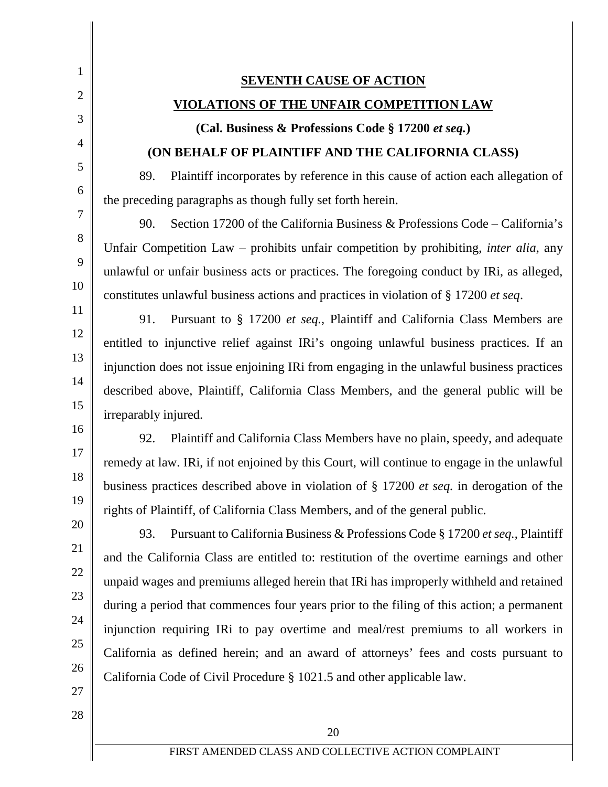**SEVENTH CAUSE OF ACTION VIOLATIONS OF THE UNFAIR COMPETITION LAW (Cal. Business & Professions Code § 17200** *et seq.***) (ON BEHALF OF PLAINTIFF AND THE CALIFORNIA CLASS)** 89. Plaintiff incorporates by reference in this cause of action each allegation of the preceding paragraphs as though fully set forth herein. 90. Section 17200 of the California Business & Professions Code – California's Unfair Competition Law – prohibits unfair competition by prohibiting, *inter alia*, any unlawful or unfair business acts or practices. The foregoing conduct by IRi, as alleged, constitutes unlawful business actions and practices in violation of § 17200 *et seq*. 91. Pursuant to § 17200 *et seq.*, Plaintiff and California Class Members are entitled to injunctive relief against IRi's ongoing unlawful business practices. If an injunction does not issue enjoining IRi from engaging in the unlawful business practices described above, Plaintiff, California Class Members, and the general public will be irreparably injured. 92. Plaintiff and California Class Members have no plain, speedy, and adequate remedy at law. IRi, if not enjoined by this Court, will continue to engage in the unlawful business practices described above in violation of § 17200 *et seq.* in derogation of the rights of Plaintiff, of California Class Members, and of the general public.

93. Pursuant to California Business & Professions Code § 17200 *et seq.*, Plaintiff and the California Class are entitled to: restitution of the overtime earnings and other unpaid wages and premiums alleged herein that IRi has improperly withheld and retained during a period that commences four years prior to the filing of this action; a permanent injunction requiring IRi to pay overtime and meal/rest premiums to all workers in California as defined herein; and an award of attorneys' fees and costs pursuant to California Code of Civil Procedure § 1021.5 and other applicable law.

27 28

1

2

3

4

5

6

7

8

9

10

11

12

13

14

15

16

17

18

19

20

21

22

23

24

25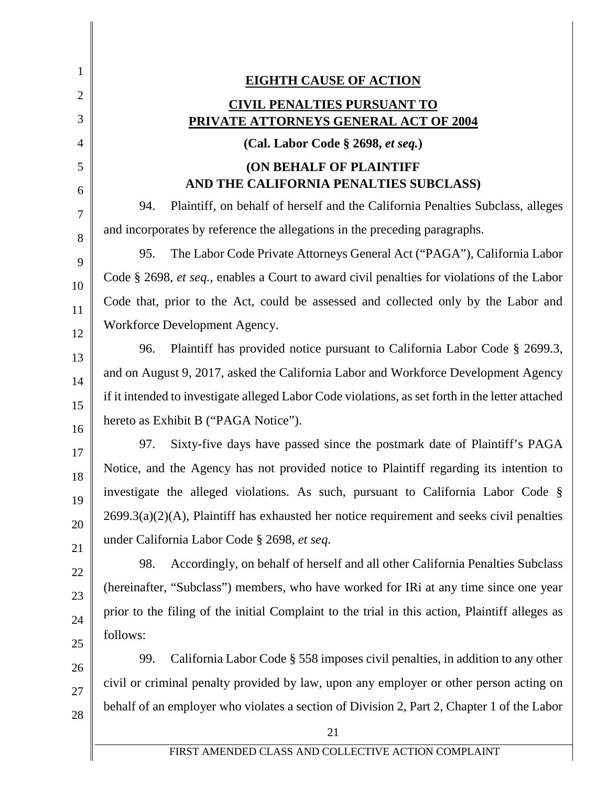| 1              |                                                                                                  |
|----------------|--------------------------------------------------------------------------------------------------|
| $\overline{2}$ | <b>EIGHTH CAUSE OF ACTION</b>                                                                    |
| 3              | <b>CIVIL PENALTIES PURSUANT TO</b><br>PRIVATE ATTORNEYS GENERAL ACT OF 2004                      |
| 4              | (Cal. Labor Code § 2698, et seq.)                                                                |
| 5              | <b>(ON BEHALF OF PLAINTIFF</b>                                                                   |
| 6              | AND THE CALIFORNIA PENALTIES SUBCLASS)                                                           |
| 7              | Plaintiff, on behalf of herself and the California Penalties Subclass, alleges<br>94.            |
| 8              | and incorporates by reference the allegations in the preceding paragraphs.                       |
| 9              | The Labor Code Private Attorneys General Act ("PAGA"), California Labor<br>95.                   |
| 10             | Code § 2698, et seq., enables a Court to award civil penalties for violations of the Labor       |
| 11             | Code that, prior to the Act, could be assessed and collected only by the Labor and               |
| 12             | Workforce Development Agency.                                                                    |
| 13             | Plaintiff has provided notice pursuant to California Labor Code § 2699.3,<br>96.                 |
| 14             | and on August 9, 2017, asked the California Labor and Workforce Development Agency               |
| 15             | if it intended to investigate alleged Labor Code violations, as set forth in the letter attached |
| 16             | hereto as Exhibit B ("PAGA Notice").                                                             |
| 17             | Sixty-five days have passed since the postmark date of Plaintiff's PAGA<br>97.                   |
| 18             | Notice, and the Agency has not provided notice to Plaintiff regarding its intention to           |
| 19             | investigate the alleged violations. As such, pursuant to California Labor Code §                 |
| 20             | $2699.3(a)(2)(A)$ , Plaintiff has exhausted her notice requirement and seeks civil penalties     |
| 21             | under California Labor Code § 2698, et seq.                                                      |
| 22             | Accordingly, on behalf of herself and all other California Penalties Subclass<br>98.             |
| 23             | (hereinafter, "Subclass") members, who have worked for IRi at any time since one year            |
| 24             | prior to the filing of the initial Complaint to the trial in this action, Plaintiff alleges as   |
| 25             | follows:                                                                                         |
| 26             | California Labor Code § 558 imposes civil penalties, in addition to any other<br>99.             |
| 27             | civil or criminal penalty provided by law, upon any employer or other person acting on           |
| 28             | behalf of an employer who violates a section of Division 2, Part 2, Chapter 1 of the Labor       |
|                | 21                                                                                               |
|                | FIRST AMENDED CLASS AND COLLECTIVE ACTION COMPLAINT                                              |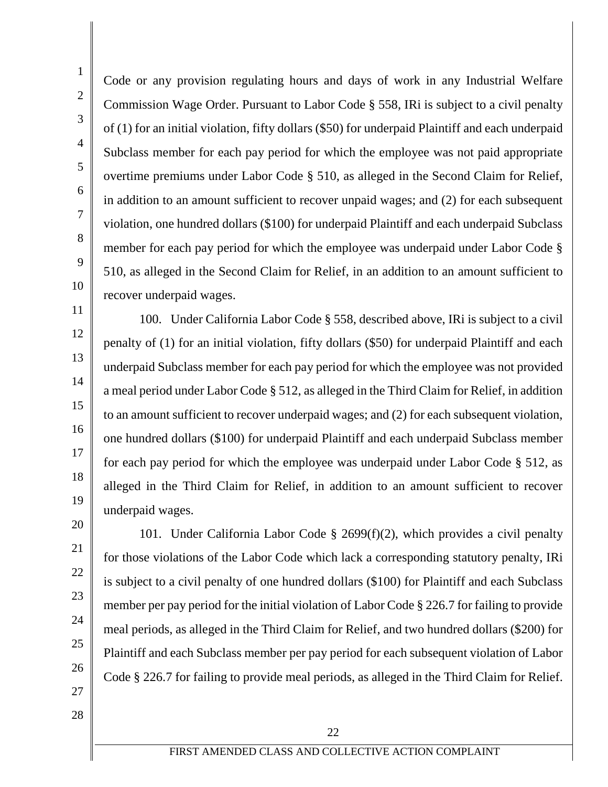Code or any provision regulating hours and days of work in any Industrial Welfare Commission Wage Order. Pursuant to Labor Code § 558, IRi is subject to a civil penalty of (1) for an initial violation, fifty dollars (\$50) for underpaid Plaintiff and each underpaid Subclass member for each pay period for which the employee was not paid appropriate overtime premiums under Labor Code § 510, as alleged in the Second Claim for Relief, in addition to an amount sufficient to recover unpaid wages; and (2) for each subsequent violation, one hundred dollars (\$100) for underpaid Plaintiff and each underpaid Subclass member for each pay period for which the employee was underpaid under Labor Code § 510, as alleged in the Second Claim for Relief, in an addition to an amount sufficient to recover underpaid wages.

100. Under California Labor Code § 558, described above, IRi is subject to a civil penalty of (1) for an initial violation, fifty dollars (\$50) for underpaid Plaintiff and each underpaid Subclass member for each pay period for which the employee was not provided a meal period under Labor Code § 512, as alleged in the Third Claim for Relief, in addition to an amount sufficient to recover underpaid wages; and (2) for each subsequent violation, one hundred dollars (\$100) for underpaid Plaintiff and each underpaid Subclass member for each pay period for which the employee was underpaid under Labor Code § 512, as alleged in the Third Claim for Relief, in addition to an amount sufficient to recover underpaid wages.

101. Under California Labor Code § 2699(f)(2), which provides a civil penalty for those violations of the Labor Code which lack a corresponding statutory penalty, IRi is subject to a civil penalty of one hundred dollars (\$100) for Plaintiff and each Subclass member per pay period for the initial violation of Labor Code § 226.7 for failing to provide meal periods, as alleged in the Third Claim for Relief, and two hundred dollars (\$200) for Plaintiff and each Subclass member per pay period for each subsequent violation of Labor Code § 226.7 for failing to provide meal periods, as alleged in the Third Claim for Relief.

28

26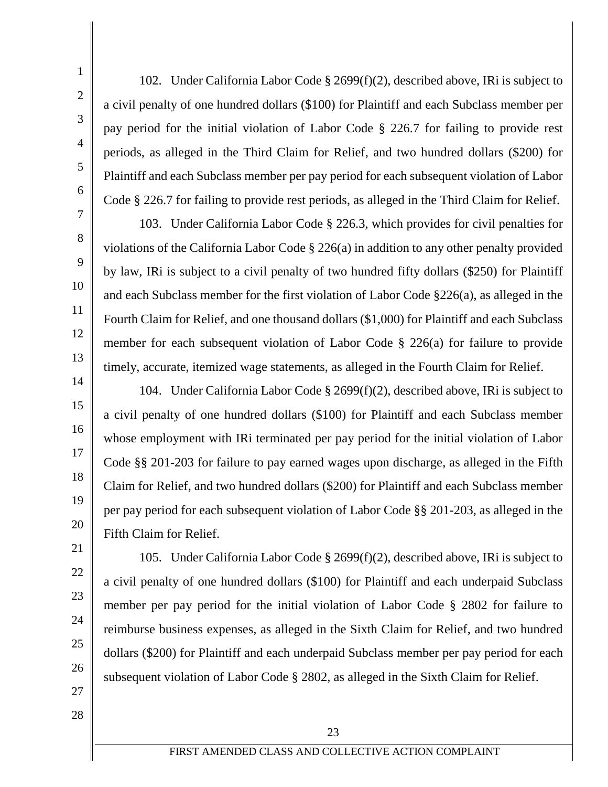27

28

102. Under California Labor Code § 2699(f)(2), described above, IRi is subject to a civil penalty of one hundred dollars (\$100) for Plaintiff and each Subclass member per pay period for the initial violation of Labor Code § 226.7 for failing to provide rest periods, as alleged in the Third Claim for Relief, and two hundred dollars (\$200) for Plaintiff and each Subclass member per pay period for each subsequent violation of Labor Code § 226.7 for failing to provide rest periods, as alleged in the Third Claim for Relief.

103. Under California Labor Code § 226.3, which provides for civil penalties for violations of the California Labor Code § 226(a) in addition to any other penalty provided by law, IRi is subject to a civil penalty of two hundred fifty dollars (\$250) for Plaintiff and each Subclass member for the first violation of Labor Code §226(a), as alleged in the Fourth Claim for Relief, and one thousand dollars (\$1,000) for Plaintiff and each Subclass member for each subsequent violation of Labor Code § 226(a) for failure to provide timely, accurate, itemized wage statements, as alleged in the Fourth Claim for Relief.

104. Under California Labor Code § 2699(f)(2), described above, IRi is subject to a civil penalty of one hundred dollars (\$100) for Plaintiff and each Subclass member whose employment with IRi terminated per pay period for the initial violation of Labor Code §§ 201-203 for failure to pay earned wages upon discharge, as alleged in the Fifth Claim for Relief, and two hundred dollars (\$200) for Plaintiff and each Subclass member per pay period for each subsequent violation of Labor Code §§ 201-203, as alleged in the Fifth Claim for Relief.

105. Under California Labor Code § 2699(f)(2), described above, IRi is subject to a civil penalty of one hundred dollars (\$100) for Plaintiff and each underpaid Subclass member per pay period for the initial violation of Labor Code § 2802 for failure to reimburse business expenses, as alleged in the Sixth Claim for Relief, and two hundred dollars (\$200) for Plaintiff and each underpaid Subclass member per pay period for each subsequent violation of Labor Code § 2802, as alleged in the Sixth Claim for Relief.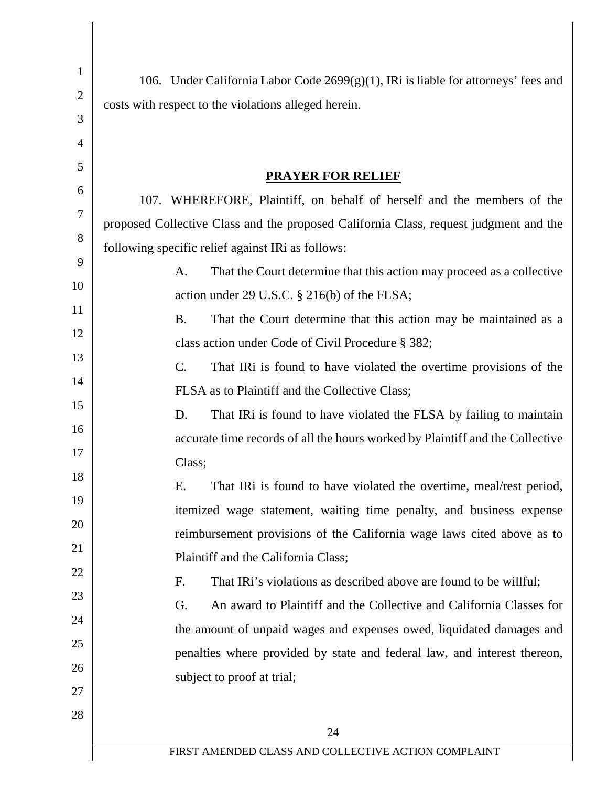| $\mathbf{1}$<br>$\overline{2}$<br>3 | 106. Under California Labor Code 2699(g)(1), IRi is liable for attorneys' fees and<br>costs with respect to the violations alleged herein. |  |
|-------------------------------------|--------------------------------------------------------------------------------------------------------------------------------------------|--|
| $\overline{4}$                      |                                                                                                                                            |  |
| 5                                   | <b>PRAYER FOR RELIEF</b>                                                                                                                   |  |
| 6                                   | 107. WHEREFORE, Plaintiff, on behalf of herself and the members of the                                                                     |  |
| $\overline{7}$                      | proposed Collective Class and the proposed California Class, request judgment and the                                                      |  |
| 8                                   | following specific relief against IRi as follows:                                                                                          |  |
| 9                                   | That the Court determine that this action may proceed as a collective<br>A.                                                                |  |
| 10                                  | action under 29 U.S.C. § 216(b) of the FLSA;                                                                                               |  |
| 11                                  | That the Court determine that this action may be maintained as a<br><b>B.</b>                                                              |  |
| 12                                  | class action under Code of Civil Procedure § 382;                                                                                          |  |
| 13                                  | $\mathcal{C}$ .<br>That IRi is found to have violated the overtime provisions of the                                                       |  |
| 14                                  | FLSA as to Plaintiff and the Collective Class;                                                                                             |  |
| 15                                  | That IRi is found to have violated the FLSA by failing to maintain<br>D.                                                                   |  |
| 16                                  | accurate time records of all the hours worked by Plaintiff and the Collective                                                              |  |
| 17                                  | Class;                                                                                                                                     |  |
| 18                                  | E.<br>That IRi is found to have violated the overtime, meal/rest period,                                                                   |  |
| 19                                  | itemized wage statement, waiting time penalty, and business expense                                                                        |  |
| 20                                  | reimbursement provisions of the California wage laws cited above as to                                                                     |  |
| 21                                  | Plaintiff and the California Class;                                                                                                        |  |
| 22                                  | That IRi's violations as described above are found to be willful;<br>F.                                                                    |  |
| 23                                  | An award to Plaintiff and the Collective and California Classes for<br>G.                                                                  |  |
| 24                                  | the amount of unpaid wages and expenses owed, liquidated damages and                                                                       |  |
| 25                                  | penalties where provided by state and federal law, and interest thereon,                                                                   |  |
| 26                                  | subject to proof at trial;                                                                                                                 |  |
| 27                                  |                                                                                                                                            |  |
| 28                                  | 24                                                                                                                                         |  |
|                                     | FIRST AMENDED CLASS AND COLLECTIVE ACTION COMPLAINT                                                                                        |  |